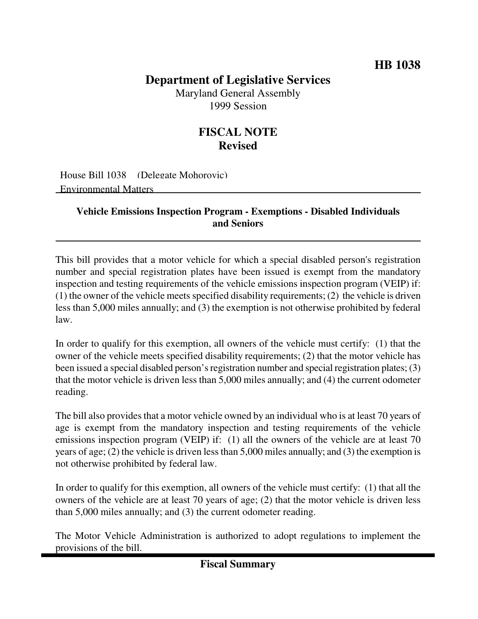## **Department of Legislative Services**

Maryland General Assembly 1999 Session

## **FISCAL NOTE Revised**

House Bill 1038 (Delegate Mohorovic) Environmental Matters

## **Vehicle Emissions Inspection Program - Exemptions - Disabled Individuals and Seniors**

This bill provides that a motor vehicle for which a special disabled person's registration number and special registration plates have been issued is exempt from the mandatory inspection and testing requirements of the vehicle emissions inspection program (VEIP) if:  $(1)$  the owner of the vehicle meets specified disability requirements;  $(2)$  the vehicle is driven less than 5,000 miles annually; and (3) the exemption is not otherwise prohibited by federal law.

In order to qualify for this exemption, all owners of the vehicle must certify: (1) that the owner of the vehicle meets specified disability requirements; (2) that the motor vehicle has been issued a special disabled person's registration number and special registration plates; (3) that the motor vehicle is driven less than 5,000 miles annually; and (4) the current odometer reading.

The bill also provides that a motor vehicle owned by an individual who is at least 70 years of age is exempt from the mandatory inspection and testing requirements of the vehicle emissions inspection program (VEIP) if: (1) all the owners of the vehicle are at least 70 years of age; (2) the vehicle is driven less than 5,000 miles annually; and (3) the exemption is not otherwise prohibited by federal law.

In order to qualify for this exemption, all owners of the vehicle must certify: (1) that all the owners of the vehicle are at least 70 years of age; (2) that the motor vehicle is driven less than 5,000 miles annually; and (3) the current odometer reading.

The Motor Vehicle Administration is authorized to adopt regulations to implement the provisions of the bill.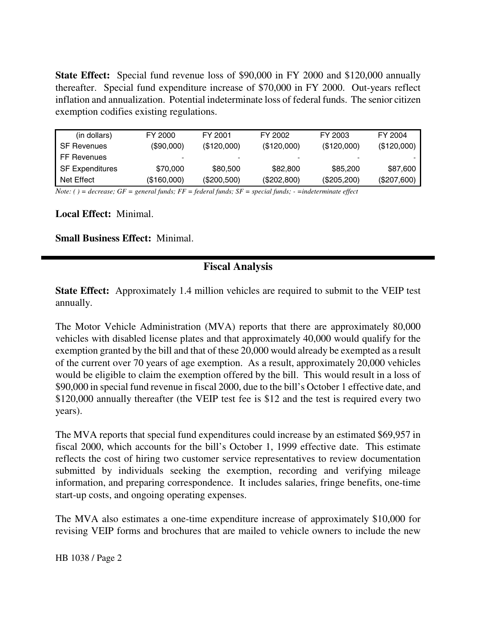**State Effect:** Special fund revenue loss of \$90,000 in FY 2000 and \$120,000 annually thereafter. Special fund expenditure increase of \$70,000 in FY 2000. Out-years reflect inflation and annualization. Potential indeterminate loss of federal funds. The senior citizen exemption codifies existing regulations.

| (in dollars)           | FY 2000     | FY 2001     | FY 2002     | FY 2003     | FY 2004     |
|------------------------|-------------|-------------|-------------|-------------|-------------|
| SF Revenues            | (\$90,000)  | (\$120,000) | (\$120,000) | (\$120,000) | (\$120,000) |
| FF Revenues            |             |             |             |             |             |
| <b>SF Expenditures</b> | \$70,000    | \$80,500    | \$82,800    | \$85,200    | \$87,600    |
| Net Effect             | (\$160,000) | (\$200,500) | (\$202,800) | (\$205,200) | (\$207,600) |

Note: () = decrease;  $GF = general$  funds;  $FF = federal$  funds;  $SF = special$  funds; - = indeterminate effect

**Local Effect:** Minimal.

**Small Business Effect:** Minimal.

## **Fiscal Analysis**

**State Effect:** Approximately 1.4 million vehicles are required to submit to the VEIP test annually.

The Motor Vehicle Administration (MVA) reports that there are approximately 80,000 vehicles with disabled license plates and that approximately 40,000 would qualify for the exemption granted by the bill and that of these 20,000 would already be exempted as a result of the current over 70 years of age exemption. As a result, approximately 20,000 vehicles would be eligible to claim the exemption offered by the bill. This would result in a loss of \$90,000 in special fund revenue in fiscal 2000, due to the bill's October 1 effective date, and \$120,000 annually thereafter (the VEIP test fee is \$12 and the test is required every two years).

The MVA reports that special fund expenditures could increase by an estimated \$69,957 in fiscal 2000, which accounts for the bill's October 1, 1999 effective date. This estimate reflects the cost of hiring two customer service representatives to review documentation submitted by individuals seeking the exemption, recording and verifying mileage information, and preparing correspondence. It includes salaries, fringe benefits, one-time start-up costs, and ongoing operating expenses.

The MVA also estimates a one-time expenditure increase of approximately \$10,000 for revising VEIP forms and brochures that are mailed to vehicle owners to include the new

HB 1038 / Page 2